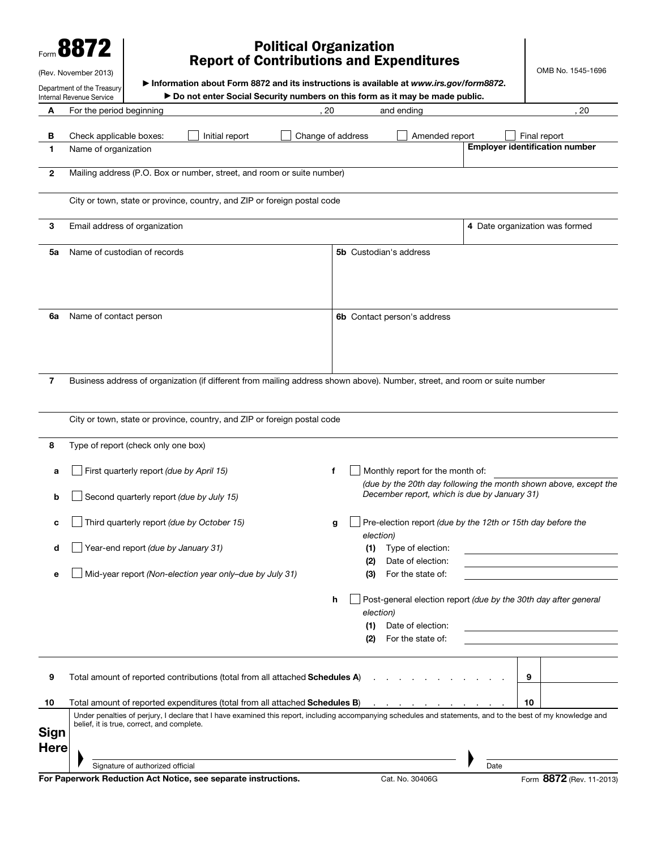| Form $\blacksquare$ |  |
|---------------------|--|
|---------------------|--|

## Political Organization Report of Contributions and Expenditures

OMB No. 1545-1696

|              | (Rev. November 2013)                                          |                                            |                                                                                                                                                                         |    |                               |                         |            |                                              |      |    | OMB No. 1545-1696                                                |
|--------------|---------------------------------------------------------------|--------------------------------------------|-------------------------------------------------------------------------------------------------------------------------------------------------------------------------|----|-------------------------------|-------------------------|------------|----------------------------------------------|------|----|------------------------------------------------------------------|
|              | Department of the Treasury<br><b>Internal Revenue Service</b> |                                            | Information about Form 8872 and its instructions is available at www.irs.gov/form8872.<br>► Do not enter Social Security numbers on this form as it may be made public. |    |                               |                         |            |                                              |      |    |                                                                  |
| A            | For the period beginning                                      |                                            |                                                                                                                                                                         | 20 |                               |                         | and ending |                                              |      |    | 20                                                               |
| В<br>1.      | Check applicable boxes:<br>Name of organization               |                                            | Initial report                                                                                                                                                          |    | Change of address             |                         |            | Amended report                               |      |    | Final report<br><b>Employer identification number</b>            |
| $\mathbf{2}$ |                                                               |                                            | Mailing address (P.O. Box or number, street, and room or suite number)                                                                                                  |    |                               |                         |            |                                              |      |    |                                                                  |
|              |                                                               |                                            | City or town, state or province, country, and ZIP or foreign postal code                                                                                                |    |                               |                         |            |                                              |      |    |                                                                  |
| 3            |                                                               | Email address of organization              |                                                                                                                                                                         |    |                               |                         |            |                                              |      |    | 4 Date organization was formed                                   |
| 5a           |                                                               | Name of custodian of records               |                                                                                                                                                                         |    | <b>5b</b> Custodian's address |                         |            |                                              |      |    |                                                                  |
| 6a           | Name of contact person                                        |                                            |                                                                                                                                                                         |    |                               |                         |            | 6b Contact person's address                  |      |    |                                                                  |
| 7            |                                                               |                                            | Business address of organization (if different from mailing address shown above). Number, street, and room or suite number                                              |    |                               |                         |            |                                              |      |    |                                                                  |
| 8            |                                                               | Type of report (check only one box)        | City or town, state or province, country, and ZIP or foreign postal code                                                                                                |    |                               |                         |            |                                              |      |    |                                                                  |
|              |                                                               |                                            |                                                                                                                                                                         |    |                               |                         |            |                                              |      |    |                                                                  |
| a            |                                                               | First quarterly report (due by April 15)   |                                                                                                                                                                         | f  |                               |                         |            | Monthly report for the month of:             |      |    | (due by the 20th day following the month shown above, except the |
| b            |                                                               |                                            | Second quarterly report (due by July 15)                                                                                                                                |    |                               |                         |            | December report, which is due by January 31) |      |    |                                                                  |
| C            |                                                               |                                            | Third quarterly report (due by October 15)                                                                                                                              | g  |                               | election)               |            |                                              |      |    | Pre-election report (due by the 12th or 15th day before the      |
|              |                                                               | Year-end report (due by January 31)        |                                                                                                                                                                         |    |                               | (2)                     |            | (1) Type of election:<br>Date of election:   |      |    |                                                                  |
| е            |                                                               |                                            | Mid-year report (Non-election year only-due by July 31)                                                                                                                 |    |                               | (3)                     |            | For the state of:                            |      |    |                                                                  |
|              |                                                               |                                            |                                                                                                                                                                         | h  |                               | election)<br>(1)<br>(2) |            | Date of election:<br>For the state of:       |      |    | Post-general election report (due by the 30th day after general  |
| 9            |                                                               |                                            | Total amount of reported contributions (total from all attached Schedules A)                                                                                            |    |                               |                         |            | and the contract of the contract of the      |      | 9  |                                                                  |
| 10           |                                                               |                                            | Total amount of reported expenditures (total from all attached <b>Schedules B</b> ) All Alleman Alleman Alleman Alleman                                                 |    |                               |                         |            |                                              |      | 10 |                                                                  |
| <b>Sign</b>  |                                                               | belief, it is true, correct, and complete. | Under penalties of perjury, I declare that I have examined this report, including accompanying schedules and statements, and to the best of my knowledge and            |    |                               |                         |            |                                              |      |    |                                                                  |
| <b>Here</b>  |                                                               |                                            |                                                                                                                                                                         |    |                               |                         |            |                                              |      |    |                                                                  |
|              |                                                               | Signature of authorized official           |                                                                                                                                                                         |    |                               |                         |            |                                              | Date |    |                                                                  |

For Paperwork Reduction Act Notice, see separate instructions. Cat. No. 30406G Form 8872 (Rev. 11-2013)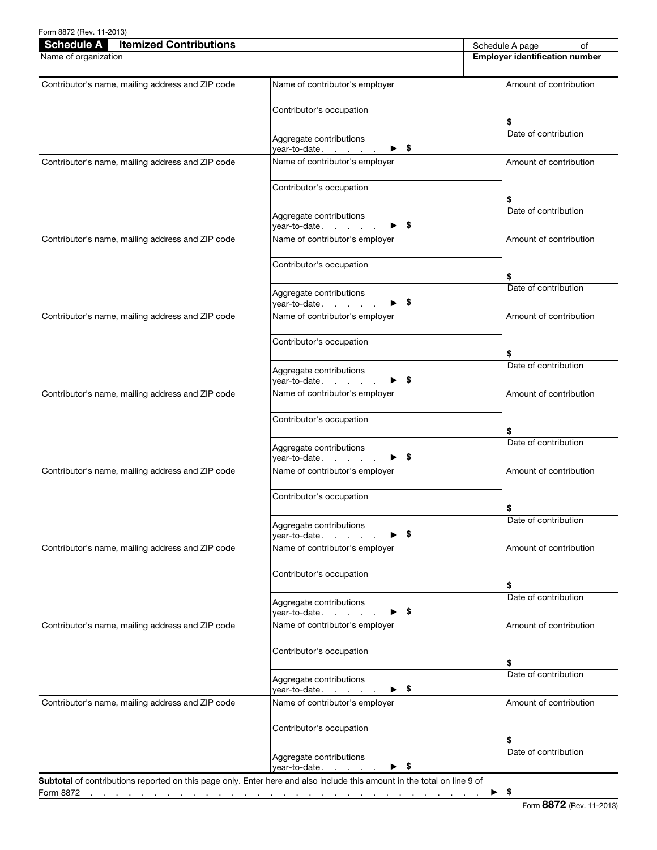| <b>Schedule A</b><br><b>Itemized Contributions</b><br>Name of organization |                                                                                                                     | Schedule A page<br>of<br><b>Employer identification number</b> |
|----------------------------------------------------------------------------|---------------------------------------------------------------------------------------------------------------------|----------------------------------------------------------------|
|                                                                            |                                                                                                                     |                                                                |
| Contributor's name, mailing address and ZIP code                           | Name of contributor's employer                                                                                      | Amount of contribution                                         |
|                                                                            | Contributor's occupation                                                                                            | \$                                                             |
|                                                                            | Aggregate contributions<br>\$<br>year-to-date.<br><b>Service</b> State                                              | Date of contribution                                           |
| Contributor's name, mailing address and ZIP code                           | Name of contributor's employer                                                                                      | Amount of contribution                                         |
|                                                                            | Contributor's occupation                                                                                            |                                                                |
|                                                                            | Aggregate contributions                                                                                             | \$<br>Date of contribution                                     |
| Contributor's name, mailing address and ZIP code                           | \$<br>vear-to-date .<br>$\mathcal{L}^{\text{max}}$ and $\mathcal{L}^{\text{max}}$<br>Name of contributor's employer | Amount of contribution                                         |
|                                                                            | Contributor's occupation                                                                                            |                                                                |
|                                                                            |                                                                                                                     | \$<br>Date of contribution                                     |
|                                                                            | Aggregate contributions<br>\$<br>vear-to-date .                                                                     |                                                                |
| Contributor's name, mailing address and ZIP code                           | Name of contributor's employer                                                                                      | Amount of contribution                                         |
|                                                                            | Contributor's occupation                                                                                            | \$                                                             |
|                                                                            | Aggregate contributions<br>\$<br>vear-to-date .<br>$\mathcal{L}^{\text{max}}$ and $\mathcal{L}^{\text{max}}$        | Date of contribution                                           |
| Contributor's name, mailing address and ZIP code                           | Name of contributor's employer                                                                                      | Amount of contribution                                         |
|                                                                            | Contributor's occupation                                                                                            | \$                                                             |
|                                                                            | Aggregate contributions<br>\$<br>vear-to-date.                                                                      | Date of contribution                                           |
| Contributor's name, mailing address and ZIP code                           | Name of contributor's employer                                                                                      | Amount of contribution                                         |
|                                                                            | Contributor's occupation                                                                                            | \$                                                             |
|                                                                            | Aggregate contributions<br>\$<br>vear-to-date<br>▶                                                                  | Date of contribution                                           |
| Contributor's name, mailing address and ZIP code                           | Name of contributor's employer                                                                                      | Amount of contribution                                         |
|                                                                            | Contributor's occupation                                                                                            | \$                                                             |
|                                                                            | Aggregate contributions<br>\$                                                                                       | Date of contribution                                           |
| Contributor's name, mailing address and ZIP code                           | year-to-date.<br>▶<br>Name of contributor's employer                                                                | Amount of contribution                                         |
|                                                                            | Contributor's occupation                                                                                            |                                                                |
|                                                                            | Aggregate contributions                                                                                             | \$<br>Date of contribution                                     |
| Contributor's name, mailing address and ZIP code                           | \$<br>year-to-date.<br>▸<br>Name of contributor's employer                                                          | Amount of contribution                                         |
|                                                                            | Contributor's occupation                                                                                            |                                                                |
|                                                                            | Aggregate contributions<br>\$<br>year-to-date.                                                                      | \$<br>Date of contribution                                     |

Form 8872 (Rev. 11-2013)